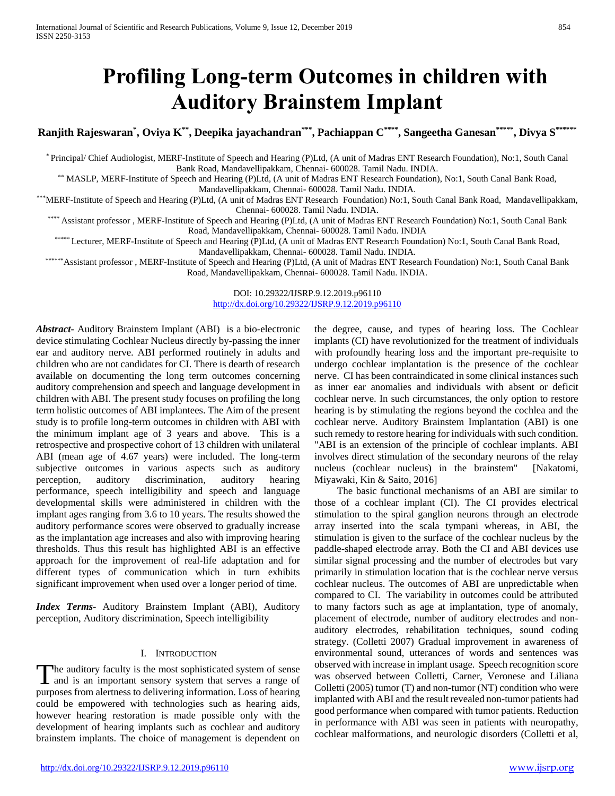# **Profiling Long-term Outcomes in children with Auditory Brainstem Implant**

**Ranjith Rajeswaran\* , Oviya K\*\*, Deepika jayachandran\*\*\*, Pachiappan C\*\*\*\*, Sangeetha Ganesan\*\*\*\*\*, Divya S\*\*\*\*\*\***

\* Principal/ Chief Audiologist, MERF-Institute of Speech and Hearing (P)Ltd, (A unit of Madras ENT Research Foundation), No:1, South Canal Bank Road, Mandavellipakkam, Chennai- 600028. Tamil Nadu. INDIA.

\*\* MASLP, MERF-Institute of Speech and Hearing (P)Ltd, (A unit of Madras ENT Research Foundation), No:1, South Canal Bank Road, Mandavellipakkam, Chennai- 600028. Tamil Nadu. INDIA.

\*\*\*MERF-Institute of Speech and Hearing (P)Ltd, (A unit of Madras ENT Research Foundation) No:1, South Canal Bank Road, Mandavellipakkam, Chennai- 600028. Tamil Nadu. INDIA.

\*\*\*\* Assistant professor , MERF-Institute of Speech and Hearing (P)Ltd, (A unit of Madras ENT Research Foundation) No:1, South Canal Bank Road, Mandavellipakkam, Chennai- 600028. Tamil Nadu. INDIA

\*\*\*\*\* Lecturer, MERF-Institute of Speech and Hearing (P)Ltd, (A unit of Madras ENT Research Foundation) No:1, South Canal Bank Road, Mandavellipakkam, Chennai- 600028. Tamil Nadu. INDIA.

\*\*\*\*\*\*Assistant professor , MERF-Institute of Speech and Hearing (P)Ltd, (A unit of Madras ENT Research Foundation) No:1, South Canal Bank Road, Mandavellipakkam, Chennai- 600028. Tamil Nadu. INDIA.

> DOI: 10.29322/IJSRP.9.12.2019.p96110 <http://dx.doi.org/10.29322/IJSRP.9.12.2019.p96110>

*Abstract***-** Auditory Brainstem Implant (ABI) is a bio-electronic device stimulating Cochlear Nucleus directly by-passing the inner ear and auditory nerve. ABI performed routinely in adults and children who are not candidates for CI. There is dearth of research available on documenting the long term outcomes concerning auditory comprehension and speech and language development in children with ABI. The present study focuses on profiling the long term holistic outcomes of ABI implantees. The Aim of the present study is to profile long-term outcomes in children with ABI with the minimum implant age of 3 years and above. This is a retrospective and prospective cohort of 13 children with unilateral ABI (mean age of 4.67 years) were included. The long-term subjective outcomes in various aspects such as auditory perception, auditory discrimination, auditory hearing performance, speech intelligibility and speech and language developmental skills were administered in children with the implant ages ranging from 3.6 to 10 years. The results showed the auditory performance scores were observed to gradually increase as the implantation age increases and also with improving hearing thresholds. Thus this result has highlighted ABI is an effective approach for the improvement of real-life adaptation and for different types of communication which in turn exhibits significant improvement when used over a longer period of time.

*Index Terms*- Auditory Brainstem Implant (ABI), Auditory perception, Auditory discrimination, Speech intelligibility

# I. INTRODUCTION

he auditory faculty is the most sophisticated system of sense The auditory faculty is the most sophisticated system of sense<br>and is an important sensory system that serves a range of purposes from alertness to delivering information. Loss of hearing could be empowered with technologies such as hearing aids, however hearing restoration is made possible only with the development of hearing implants such as cochlear and auditory brainstem implants. The choice of management is dependent on

the degree, cause, and types of hearing loss. The Cochlear implants (CI) have revolutionized for the treatment of individuals with profoundly hearing loss and the important pre-requisite to undergo cochlear implantation is the presence of the cochlear nerve. CI has been contraindicated in some clinical instances such as inner ear anomalies and individuals with absent or deficit cochlear nerve. In such circumstances, the only option to restore hearing is by stimulating the regions beyond the cochlea and the cochlear nerve. Auditory Brainstem Implantation (ABI) is one such remedy to restore hearing for individuals with such condition. "ABI is an extension of the principle of cochlear implants. ABI involves direct stimulation of the secondary neurons of the relay nucleus (cochlear nucleus) in the brainstem" [Nakatomi, Miyawaki, Kin & Saito, 2016]

 The basic functional mechanisms of an ABI are similar to those of a cochlear implant (CI). The CI provides electrical stimulation to the spiral ganglion neurons through an electrode array inserted into the scala tympani whereas, in ABI, the stimulation is given to the surface of the cochlear nucleus by the paddle-shaped electrode array. Both the CI and ABI devices use similar signal processing and the number of electrodes but vary primarily in stimulation location that is the cochlear nerve versus cochlear nucleus. The outcomes of ABI are unpredictable when compared to CI. The variability in outcomes could be attributed to many factors such as age at implantation, type of anomaly, placement of electrode, number of auditory electrodes and nonauditory electrodes, rehabilitation techniques, sound coding strategy. (Colletti 2007) Gradual improvement in awareness of environmental sound, utterances of words and sentences was observed with increase in implant usage. Speech recognition score was observed between Colletti, Carner, Veronese and Liliana Colletti (2005) tumor (T) and non-tumor (NT) condition who were implanted with ABI and the result revealed non-tumor patients had good performance when compared with tumor patients. Reduction in performance with ABI was seen in patients with neuropathy, cochlear malformations, and neurologic disorders (Colletti et al,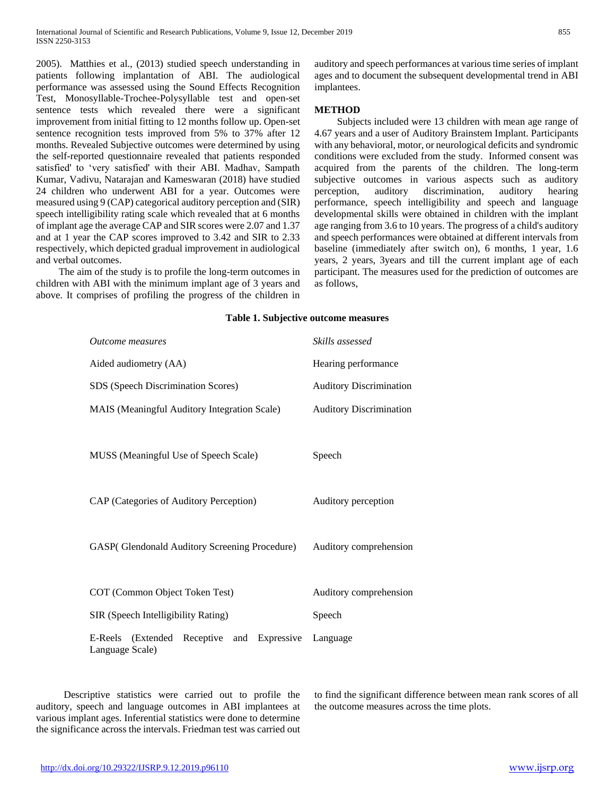2005). Matthies et al., (2013) studied speech understanding in patients following implantation of ABI. The audiological performance was assessed using the Sound Effects Recognition Test, Monosyllable-Trochee-Polysyllable test and open-set sentence tests which revealed there were a significant improvement from initial fitting to 12 months follow up. Open-set sentence recognition tests improved from 5% to 37% after 12 months. Revealed Subjective outcomes were determined by using the self-reported questionnaire revealed that patients responded satisfied' to 'very satisfied' with their ABI. Madhav, Sampath Kumar, Vadivu, Natarajan and Kameswaran (2018) have studied 24 children who underwent ABI for a year. Outcomes were measured using 9 (CAP) categorical auditory perception and (SIR) speech intelligibility rating scale which revealed that at 6 months of implant age the average CAP and SIR scores were 2.07 and 1.37 and at 1 year the CAP scores improved to 3.42 and SIR to 2.33 respectively, which depicted gradual improvement in audiological and verbal outcomes.

 The aim of the study is to profile the long-term outcomes in children with ABI with the minimum implant age of 3 years and above. It comprises of profiling the progress of the children in auditory and speech performances at various time series of implant ages and to document the subsequent developmental trend in ABI implantees.

# **METHOD**

 Subjects included were 13 children with mean age range of 4.67 years and a user of Auditory Brainstem Implant. Participants with any behavioral, motor, or neurological deficits and syndromic conditions were excluded from the study. Informed consent was acquired from the parents of the children. The long-term subjective outcomes in various aspects such as auditory perception, auditory discrimination, auditory hearing performance, speech intelligibility and speech and language developmental skills were obtained in children with the implant age ranging from 3.6 to 10 years. The progress of a child's auditory and speech performances were obtained at different intervals from baseline (immediately after switch on), 6 months, 1 year, 1.6 years, 2 years, 3years and till the current implant age of each participant. The measures used for the prediction of outcomes are as follows,

| <i><b>Outcome measures</b></i>                                | Skills assessed                |  |  |  |
|---------------------------------------------------------------|--------------------------------|--|--|--|
| Aided audiometry (AA)                                         | Hearing performance            |  |  |  |
| SDS (Speech Discrimination Scores)                            | <b>Auditory Discrimination</b> |  |  |  |
| MAIS (Meaningful Auditory Integration Scale)                  | <b>Auditory Discrimination</b> |  |  |  |
| MUSS (Meaningful Use of Speech Scale)                         | Speech                         |  |  |  |
| CAP (Categories of Auditory Perception)                       | Auditory perception            |  |  |  |
| GASP(Glendonald Auditory Screening Procedure)                 | Auditory comprehension         |  |  |  |
| COT (Common Object Token Test)                                | Auditory comprehension         |  |  |  |
| SIR (Speech Intelligibility Rating)                           | Speech                         |  |  |  |
| E-Reels (Extended Receptive and Expressive<br>Language Scale) | Language                       |  |  |  |

**Table 1. Subjective outcome measures**

 Descriptive statistics were carried out to profile the auditory, speech and language outcomes in ABI implantees at various implant ages. Inferential statistics were done to determine the significance across the intervals. Friedman test was carried out to find the significant difference between mean rank scores of all the outcome measures across the time plots.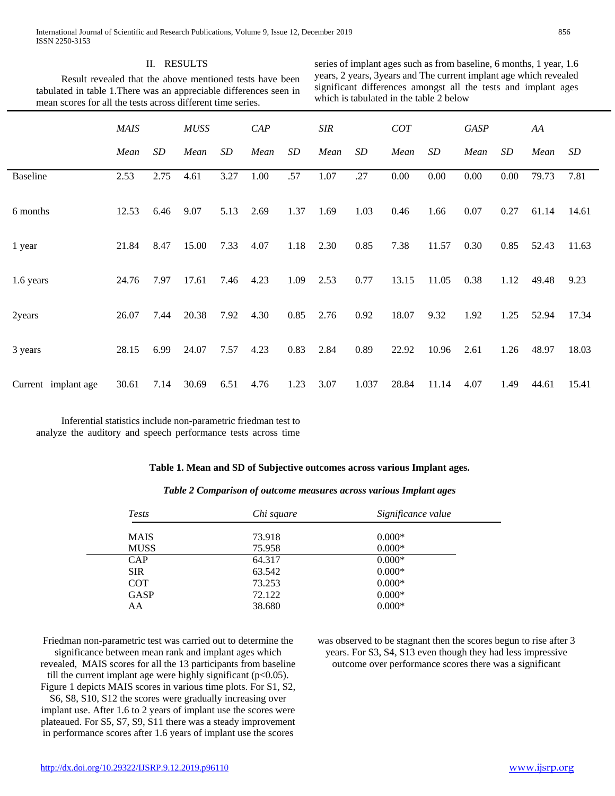### II. RESULTS

 Result revealed that the above mentioned tests have been tabulated in table 1.There was an appreciable differences seen in mean scores for all the tests across different time series.

series of implant ages such as from baseline, 6 months, 1 year, 1.6 years, 2 years, 3years and The current implant age which revealed significant differences amongst all the tests and implant ages which is tabulated in the table 2 below

|                     | <b>MAIS</b> |      | <b>MUSS</b> |      | CAP  |      | <b>SIR</b> |       | COT   |       | <b>GASP</b> |      | AA    |       |
|---------------------|-------------|------|-------------|------|------|------|------------|-------|-------|-------|-------------|------|-------|-------|
|                     | Mean        | SD   | Mean        | SD   | Mean | SD   | Mean       | SD    | Mean  | SD    | Mean        | SD   | Mean  | SD    |
| <b>Baseline</b>     | 2.53        | 2.75 | 4.61        | 3.27 | 1.00 | .57  | 1.07       | .27   | 0.00  | 0.00  | 0.00        | 0.00 | 79.73 | 7.81  |
| 6 months            | 12.53       | 6.46 | 9.07        | 5.13 | 2.69 | 1.37 | 1.69       | 1.03  | 0.46  | 1.66  | 0.07        | 0.27 | 61.14 | 14.61 |
| 1 year              | 21.84       | 8.47 | 15.00       | 7.33 | 4.07 | 1.18 | 2.30       | 0.85  | 7.38  | 11.57 | 0.30        | 0.85 | 52.43 | 11.63 |
| 1.6 years           | 24.76       | 7.97 | 17.61       | 7.46 | 4.23 | 1.09 | 2.53       | 0.77  | 13.15 | 11.05 | 0.38        | 1.12 | 49.48 | 9.23  |
| 2years              | 26.07       | 7.44 | 20.38       | 7.92 | 4.30 | 0.85 | 2.76       | 0.92  | 18.07 | 9.32  | 1.92        | 1.25 | 52.94 | 17.34 |
| 3 years             | 28.15       | 6.99 | 24.07       | 7.57 | 4.23 | 0.83 | 2.84       | 0.89  | 22.92 | 10.96 | 2.61        | 1.26 | 48.97 | 18.03 |
| Current implant age | 30.61       | 7.14 | 30.69       | 6.51 | 4.76 | 1.23 | 3.07       | 1.037 | 28.84 | 11.14 | 4.07        | 1.49 | 44.61 | 15.41 |

 Inferential statistics include non-parametric friedman test to analyze the auditory and speech performance tests across time

#### **Table 1. Mean and SD of Subjective outcomes across various Implant ages.**

| Table 2 Comparison of outcome measures across various Implant ages |  |  |
|--------------------------------------------------------------------|--|--|
|--------------------------------------------------------------------|--|--|

| <b>Tests</b> | Chi square | Significance value |  |  |  |
|--------------|------------|--------------------|--|--|--|
| <b>MAIS</b>  | 73.918     | $0.000*$           |  |  |  |
| <b>MUSS</b>  | 75.958     | $0.000*$           |  |  |  |
| <b>CAP</b>   | 64.317     | $0.000*$           |  |  |  |
| <b>SIR</b>   | 63.542     | $0.000*$           |  |  |  |
| <b>COT</b>   | 73.253     | $0.000*$           |  |  |  |
| <b>GASP</b>  | 72.122     | $0.000*$           |  |  |  |
| AA           | 38.680     | $0.000*$           |  |  |  |
|              |            |                    |  |  |  |

Friedman non-parametric test was carried out to determine the significance between mean rank and implant ages which revealed, MAIS scores for all the 13 participants from baseline

till the current implant age were highly significant  $(p<0.05)$ . Figure 1 depicts MAIS scores in various time plots. For S1, S2,

S6, S8, S10, S12 the scores were gradually increasing over implant use. After 1.6 to 2 years of implant use the scores were plateaued. For S5, S7, S9, S11 there was a steady improvement in performance scores after 1.6 years of implant use the scores

was observed to be stagnant then the scores begun to rise after 3 years. For S3, S4, S13 even though they had less impressive outcome over performance scores there was a significant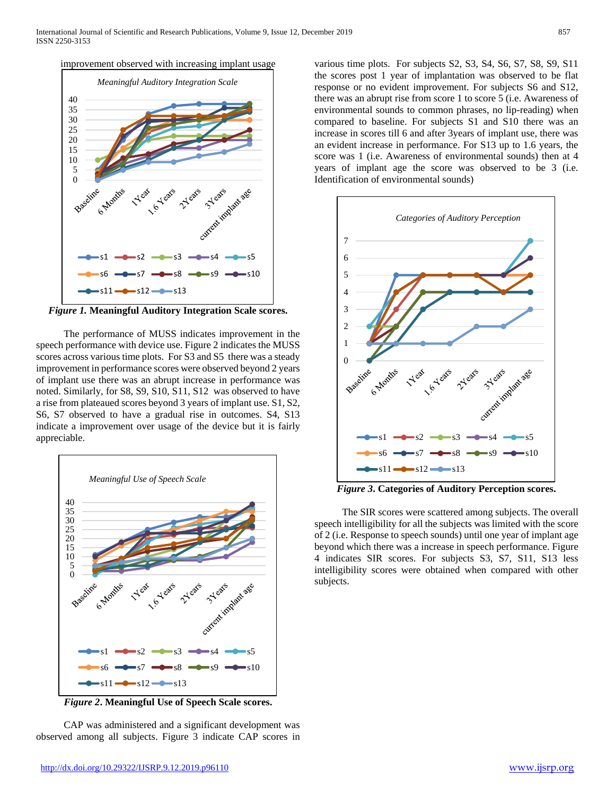



*Figure 1.* **Meaningful Auditory Integration Scale scores.**

 The performance of MUSS indicates improvement in the speech performance with device use. Figure 2 indicates the MUSS scores across various time plots. For S3 and S5 there was a steady improvement in performance scores were observed beyond 2 years of implant use there was an abrupt increase in performance was noted. Similarly, for S8, S9, S10, S11, S12 was observed to have a rise from plateaued scores beyond 3 years of implant use. S1, S2, S6, S7 observed to have a gradual rise in outcomes. S4, S13 indicate a improvement over usage of the device but it is fairly appreciable.



*Figure 2***. Meaningful Use of Speech Scale scores.**

 CAP was administered and a significant development was observed among all subjects. Figure 3 indicate CAP scores in various time plots. For subjects S2, S3, S4, S6, S7, S8, S9, S11 the scores post 1 year of implantation was observed to be flat response or no evident improvement. For subjects S6 and S12, there was an abrupt rise from score 1 to score 5 (i.e. Awareness of environmental sounds to common phrases, no lip-reading) when compared to baseline. For subjects S1 and S10 there was an increase in scores till 6 and after 3years of implant use, there was an evident increase in performance. For S13 up to 1.6 years, the score was 1 (i.e. Awareness of environmental sounds) then at 4 years of implant age the score was observed to be 3 (i.e. Identification of environmental sounds)



*Figure 3***. Categories of Auditory Perception scores.**

 The SIR scores were scattered among subjects. The overall speech intelligibility for all the subjects was limited with the score of 2 (i.e. Response to speech sounds) until one year of implant age beyond which there was a increase in speech performance. Figure 4 indicates SIR scores. For subjects S3, S7, S11, S13 less intelligibility scores were obtained when compared with other subjects.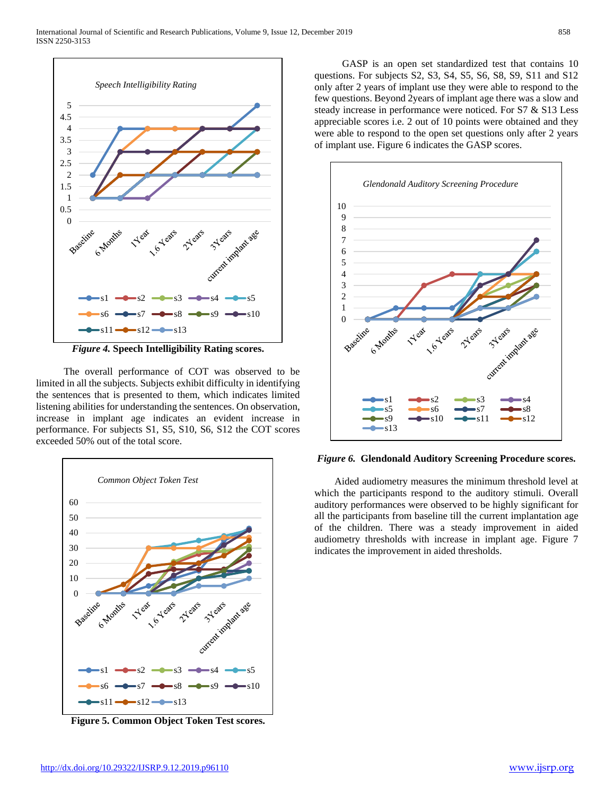

*Figure 4.* **Speech Intelligibility Rating scores.**

 The overall performance of COT was observed to be limited in all the subjects. Subjects exhibit difficulty in identifying the sentences that is presented to them, which indicates limited listening abilities for understanding the sentences. On observation, increase in implant age indicates an evident increase in performance. For subjects S1, S5, S10, S6, S12 the COT scores exceeded 50% out of the total score.



**Figure 5. Common Object Token Test scores.**

 GASP is an open set standardized test that contains 10 questions. For subjects S2, S3, S4, S5, S6, S8, S9, S11 and S12 only after 2 years of implant use they were able to respond to the few questions. Beyond 2years of implant age there was a slow and steady increase in performance were noticed. For S7 & S13 Less appreciable scores i.e. 2 out of 10 points were obtained and they were able to respond to the open set questions only after 2 years of implant use. Figure 6 indicates the GASP scores.



*Figure 6.* **Glendonald Auditory Screening Procedure scores.**

 Aided audiometry measures the minimum threshold level at which the participants respond to the auditory stimuli. Overall auditory performances were observed to be highly significant for all the participants from baseline till the current implantation age of the children. There was a steady improvement in aided audiometry thresholds with increase in implant age. Figure 7 indicates the improvement in aided thresholds.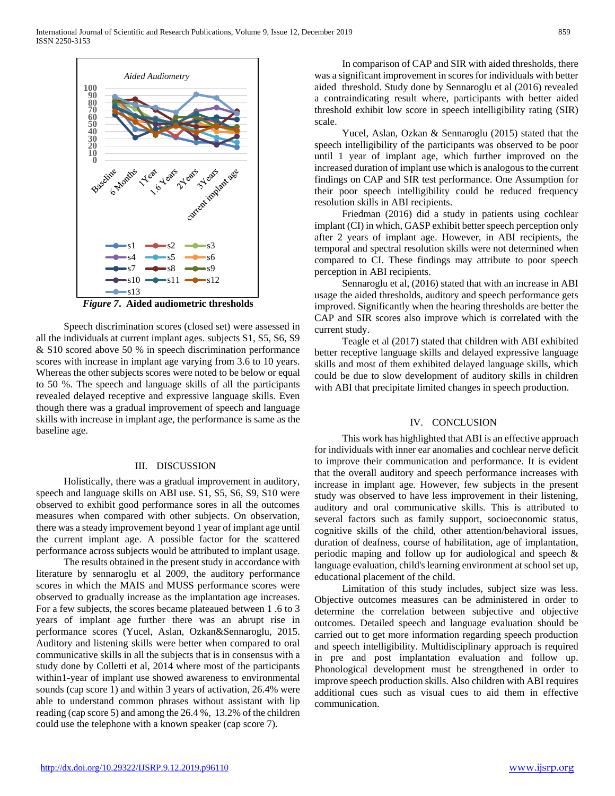

*Figure 7***. Aided audiometric thresholds**

 Speech discrimination scores (closed set) were assessed in all the individuals at current implant ages. subjects S1, S5, S6, S9 & S10 scored above 50 % in speech discrimination performance scores with increase in implant age varying from 3.6 to 10 years. Whereas the other subjects scores were noted to be below or equal to 50 %. The speech and language skills of all the participants revealed delayed receptive and expressive language skills. Even though there was a gradual improvement of speech and language skills with increase in implant age, the performance is same as the baseline age.

#### III. DISCUSSION

 Holistically, there was a gradual improvement in auditory, speech and language skills on ABI use. S1, S5, S6, S9, S10 were observed to exhibit good performance sores in all the outcomes measures when compared with other subjects. On observation, there was a steady improvement beyond 1 year of implant age until the current implant age. A possible factor for the scattered performance across subjects would be attributed to implant usage.

 The results obtained in the present study in accordance with literature by sennaroglu et al 2009, the auditory performance scores in which the MAIS and MUSS performance scores were observed to gradually increase as the implantation age increases. For a few subjects, the scores became plateaued between 1 .6 to 3 years of implant age further there was an abrupt rise in performance scores (Yucel, Aslan, Ozkan&Sennaroglu, 2015. Auditory and listening skills were better when compared to oral communicative skills in all the subjects that is in consensus with a study done by Colletti et al, 2014 where most of the participants within1-year of implant use showed awareness to environmental sounds (cap score 1) and within 3 years of activation, 26.4% were able to understand common phrases without assistant with lip reading (cap score 5) and among the 26.4 %, 13.2% of the children could use the telephone with a known speaker (cap score 7).

 In comparison of CAP and SIR with aided thresholds, there was a significant improvement in scores for individuals with better aided threshold. Study done by Sennaroglu et al (2016) revealed a contraindicating result where, participants with better aided threshold exhibit low score in speech intelligibility rating (SIR) scale.

 Yucel, Aslan, Ozkan & Sennaroglu (2015) stated that the speech intelligibility of the participants was observed to be poor until 1 year of implant age, which further improved on the increased duration of implant use which is analogous to the current findings on CAP and SIR test performance. One Assumption for their poor speech intelligibility could be reduced frequency resolution skills in ABI recipients.

 Friedman (2016) did a study in patients using cochlear implant (CI) in which, GASP exhibit better speech perception only after 2 years of implant age. However, in ABI recipients, the temporal and spectral resolution skills were not determined when compared to CI. These findings may attribute to poor speech perception in ABI recipients.

 Sennaroglu et al, (2016) stated that with an increase in ABI usage the aided thresholds, auditory and speech performance gets improved. Significantly when the hearing thresholds are better the CAP and SIR scores also improve which is correlated with the current study.

 Teagle et al (2017) stated that children with ABI exhibited better receptive language skills and delayed expressive language skills and most of them exhibited delayed language skills, which could be due to slow development of auditory skills in children with ABI that precipitate limited changes in speech production.

#### IV. CONCLUSION

 This work has highlighted that ABI is an effective approach for individuals with inner ear anomalies and cochlear nerve deficit to improve their communication and performance. It is evident that the overall auditory and speech performance increases with increase in implant age. However, few subjects in the present study was observed to have less improvement in their listening, auditory and oral communicative skills. This is attributed to several factors such as family support, socioeconomic status, cognitive skills of the child, other attention/behavioral issues, duration of deafness, course of habilitation, age of implantation, periodic maping and follow up for audiological and speech & language evaluation, child's learning environment at school set up, educational placement of the child.

 Limitation of this study includes, subject size was less. Objective outcomes measures can be administered in order to determine the correlation between subjective and objective outcomes. Detailed speech and language evaluation should be carried out to get more information regarding speech production and speech intelligibility. Multidisciplinary approach is required in pre and post implantation evaluation and follow up. Phonological development must be strengthened in order to improve speech production skills. Also children with ABI requires additional cues such as visual cues to aid them in effective communication.